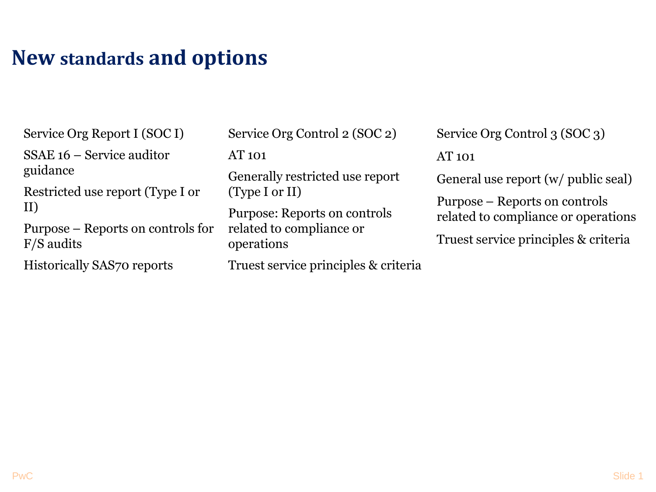# **New standards and options**

Service Org Report I (SOC I)

SSAE 16 – Service auditor guidance

Restricted use report (Type I or II)

Purpose – Reports on controls for F/S audits

Historically SAS70 reports

Service Org Control 2 (SOC 2)

AT 101

Generally restricted use report (Type I or II)

Purpose: Reports on controls related to compliance or operations

Truest service principles & criteria

Service Org Control 3 (SOC 3) AT 101

General use report (w/ public seal)

Purpose – Reports on controls related to compliance or operations

Truest service principles & criteria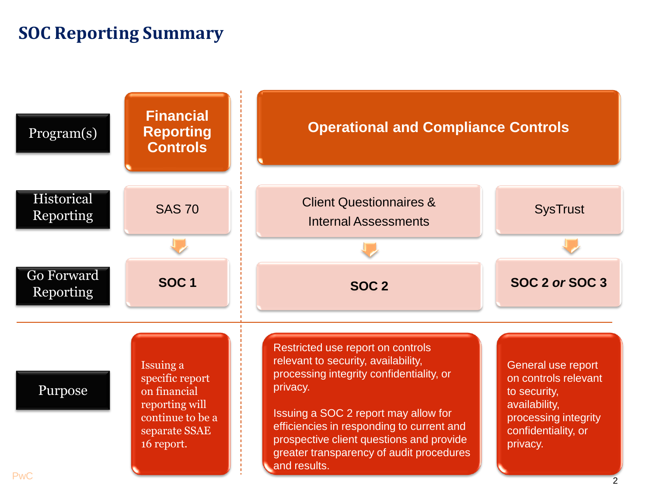#### **SOC Reporting Summary**

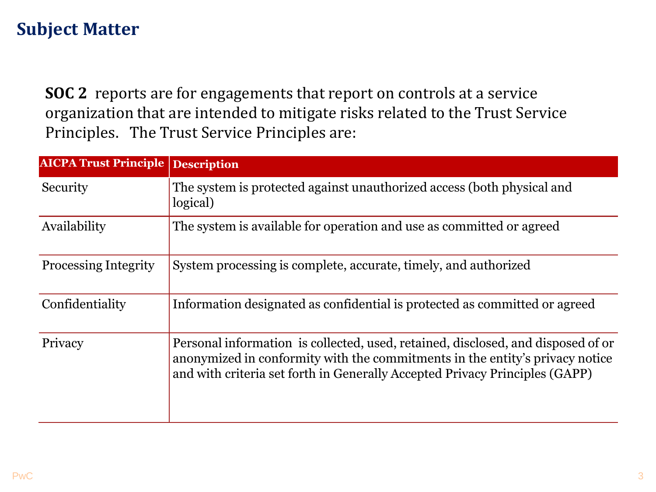## **Subject Matter**

**SOC 2** reports are for engagements that report on controls at a service organization that are intended to mitigate risks related to the Trust Service Principles. The Trust Service Principles are:

| <b>AICPA Trust Principle</b> | <b>Description</b>                                                                                                                                                                                                                              |  |
|------------------------------|-------------------------------------------------------------------------------------------------------------------------------------------------------------------------------------------------------------------------------------------------|--|
| Security                     | The system is protected against unauthorized access (both physical and<br>logical)                                                                                                                                                              |  |
| Availability                 | The system is available for operation and use as committed or agreed                                                                                                                                                                            |  |
| <b>Processing Integrity</b>  | System processing is complete, accurate, timely, and authorized                                                                                                                                                                                 |  |
| Confidentiality              | Information designated as confidential is protected as committed or agreed                                                                                                                                                                      |  |
| Privacy                      | Personal information is collected, used, retained, disclosed, and disposed of or<br>anonymized in conformity with the commitments in the entity's privacy notice<br>and with criteria set forth in Generally Accepted Privacy Principles (GAPP) |  |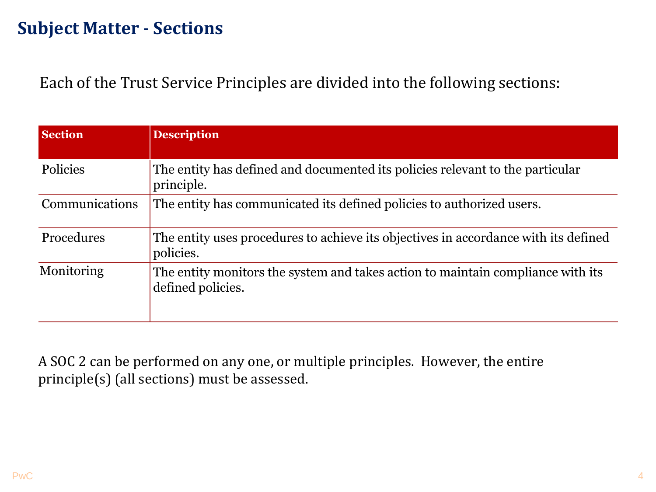### **Subject Matter - Sections**

Each of the Trust Service Principles are divided into the following sections:

| <b>Section</b>  | <b>Description</b>                                                                                   |
|-----------------|------------------------------------------------------------------------------------------------------|
| <b>Policies</b> | The entity has defined and documented its policies relevant to the particular<br>principle.          |
| Communications  | The entity has communicated its defined policies to authorized users.                                |
| Procedures      | The entity uses procedures to achieve its objectives in accordance with its defined<br>policies.     |
| Monitoring      | The entity monitors the system and takes action to maintain compliance with its<br>defined policies. |

A SOC 2 can be performed on any one, or multiple principles. However, the entire principle(s) (all sections) must be assessed.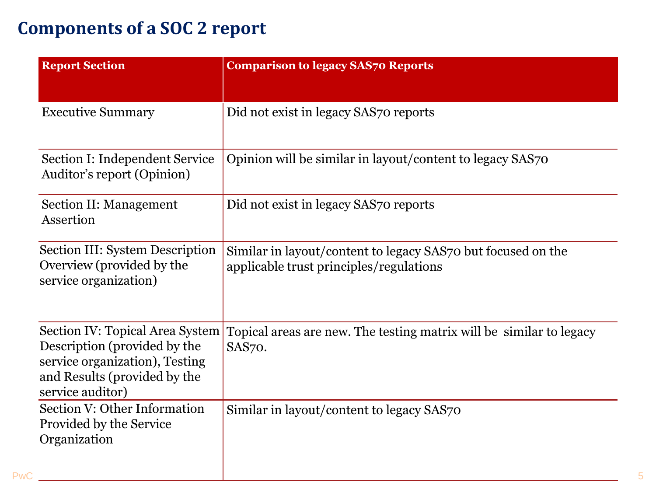# **Components of a SOC 2 report**

| <b>Report Section</b>                                                                                                                                 | <b>Comparison to legacy SAS70 Reports</b>                                                               |  |
|-------------------------------------------------------------------------------------------------------------------------------------------------------|---------------------------------------------------------------------------------------------------------|--|
| <b>Executive Summary</b>                                                                                                                              | Did not exist in legacy SAS70 reports                                                                   |  |
| Section I: Independent Service<br>Auditor's report (Opinion)                                                                                          | Opinion will be similar in layout/content to legacy SAS70                                               |  |
| <b>Section II: Management</b><br>Assertion                                                                                                            | Did not exist in legacy SAS70 reports                                                                   |  |
| Section III: System Description<br>Overview (provided by the<br>service organization)                                                                 | Similar in layout/content to legacy SAS70 but focused on the<br>applicable trust principles/regulations |  |
| Section IV: Topical Area System<br>Description (provided by the<br>service organization), Testing<br>and Results (provided by the<br>service auditor) | Topical areas are new. The testing matrix will be similar to legacy<br>SAS70.                           |  |
| Section V: Other Information<br>Provided by the Service<br>Organization                                                                               | Similar in layout/content to legacy SAS70                                                               |  |
|                                                                                                                                                       |                                                                                                         |  |